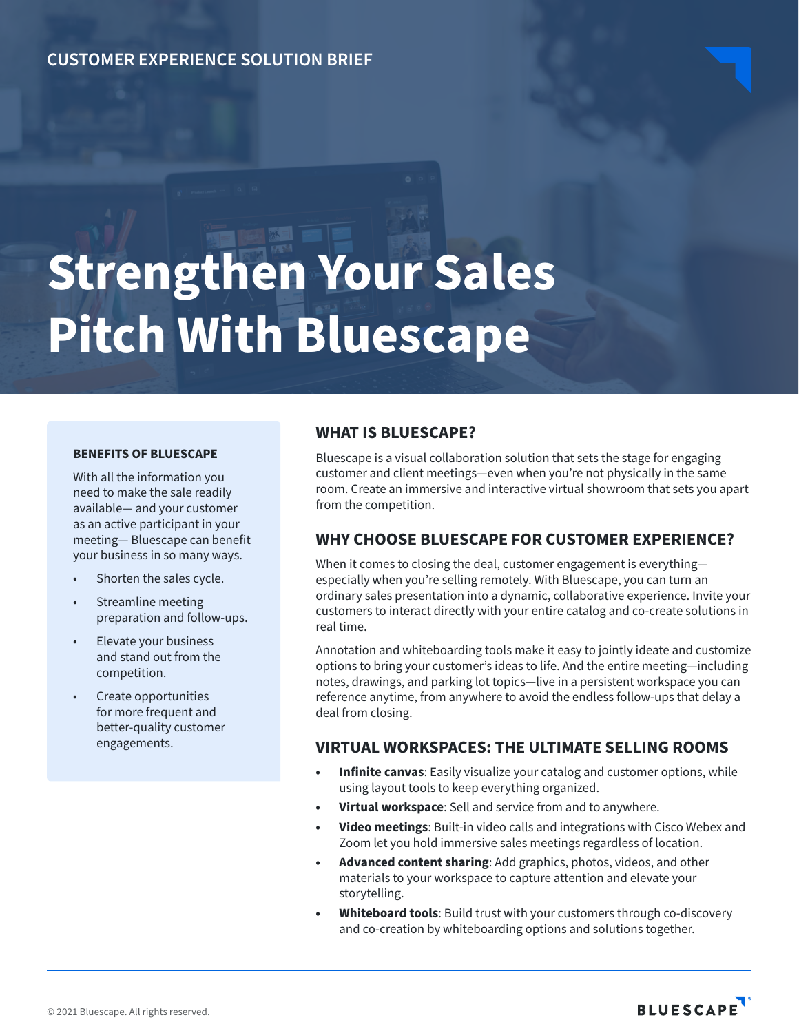# **CUSTOMER EXPERIENCE SOLUTION BRIEF**

# **Strengthen Your Sales Pitch With Bluescape**

#### **BENEFITS OF BLUESCAPE**

With all the information you need to make the sale readily available— and your customer as an active participant in your meeting— Bluescape can benefit your business in so many ways.

- Shorten the sales cycle.
- Streamline meeting preparation and follow-ups.
- Elevate your business and stand out from the competition.
- Create opportunities for more frequent and better-quality customer engagements.

## **WHAT IS BLUESCAPE?**

Bluescape is a visual collaboration solution that sets the stage for engaging customer and client meetings—even when you're not physically in the same room. Create an immersive and interactive virtual showroom that sets you apart from the competition.

## **WHY CHOOSE BLUESCAPE FOR CUSTOMER EXPERIENCE?**

When it comes to closing the deal, customer engagement is everything especially when you're selling remotely. With Bluescape, you can turn an ordinary sales presentation into a dynamic, collaborative experience. Invite your customers to interact directly with your entire catalog and co-create solutions in real time.

Annotation and whiteboarding tools make it easy to jointly ideate and customize options to bring your customer's ideas to life. And the entire meeting—including notes, drawings, and parking lot topics—live in a persistent workspace you can reference anytime, from anywhere to avoid the endless follow-ups that delay a deal from closing.

## **VIRTUAL WORKSPACES: THE ULTIMATE SELLING ROOMS**

- **• Infinite canvas**: Easily visualize your catalog and customer options, while using layout tools to keep everything organized.
- **• Virtual workspace**: Sell and service from and to anywhere.
- **• Video meetings**: Built-in video calls and integrations with Cisco Webex and Zoom let you hold immersive sales meetings regardless of location.
- **• Advanced content sharing**: Add graphics, photos, videos, and other materials to your workspace to capture attention and elevate your storytelling.
- **• Whiteboard tools**: Build trust with your customers through co-discovery and co-creation by whiteboarding options and solutions together.